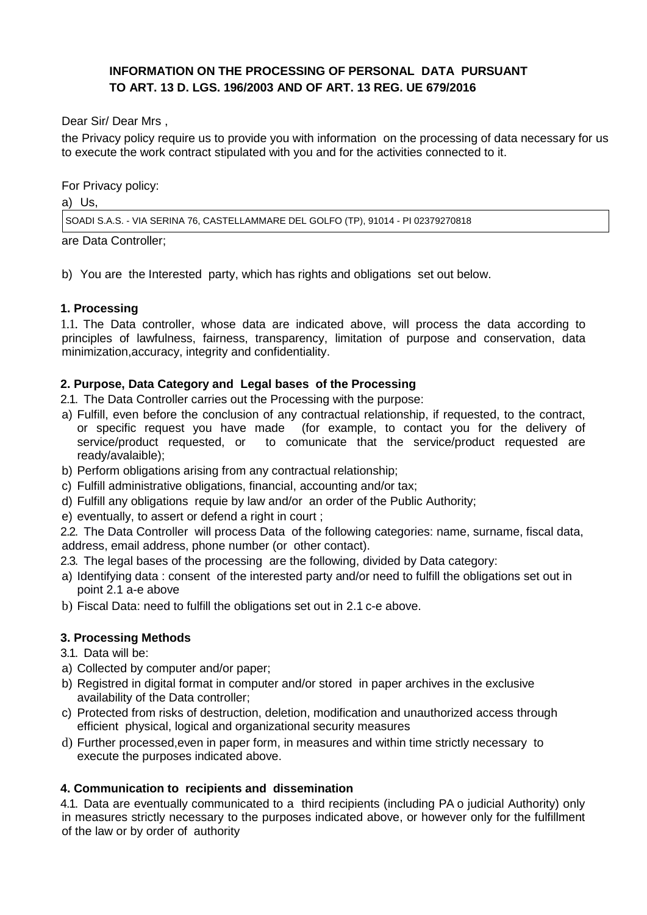# **INFORMATION ON THE PROCESSING OF PERSONAL DATA PURSUANT TO ART. 13 D. LGS. 196/2003 AND OF ART. 13 REG. UE 679/2016**

Dear Sir/ Dear Mrs ,

the Privacy policy require us to provide you with information on the processing of data necessary for us to execute the work contract stipulated with you and for the activities connected to it.

For Privacy policy:

a) Us,

SOADI S.A.S. - VIA SERINA 76, CASTELLAMMARE DEL GOLFO (TP), 91014 - PI 02379270818

are Data Controller;

b) You are the Interested party, which has rights and obligations set out below.

### **1. Processing**

1.1. The Data controller, whose data are indicated above, will process the data according to principles of lawfulness, fairness, transparency, limitation of purpose and conservation, data minimization,accuracy, integrity and confidentiality.

### **2. Purpose, Data Category and Legal bases of the Processing**

2.1. The Data Controller carries out the Processing with the purpose:

- a) Fulfill, even before the conclusion of any contractual relationship, if requested, to the contract, or specific request you have made (for example, to contact you for the delivery of (for example, to contact you for the delivery of service/product requested, or to comunicate that the service/product requested are ready/avalaible);
- b) Perform obligations arising from any contractual relationship;
- c) Fulfill administrative obligations, financial, accounting and/or tax;
- d) Fulfill any obligations requie by law and/or an order of the Public Authority;
- e) eventually, to assert or defend a right in court ;

2.2. The Data Controller will process Data of the following categories: name, surname, fiscal data, address, email address, phone number (or other contact).

2.3. The legal bases of the processing are the following, divided by Data category:

- a) Identifying data : consent of the interested party and/or need to fulfill the obligations set out in point 2.1 a-e above
- b) Fiscal Data: need to fulfill the obligations set out in 2.1 c-e above.

## **3. Processing Methods**

- 3.1. Data will be:
- a) Collected by computer and/or paper;
- b) Registred in digital format in computer and/or stored in paper archives in the exclusive availability of the Data controller;
- c) Protected from risks of destruction, deletion, modification and unauthorized access through efficient physical, logical and organizational security measures
- d) Further processed,even in paper form, in measures and within time strictly necessary to execute the purposes indicated above.

#### **4. Communication to recipients and dissemination**

4.1. Data are eventually communicated to a third recipients (including PA o judicial Authority) only in measures strictly necessary to the purposes indicated above, or however only for the fulfillment of the law or by order of authority